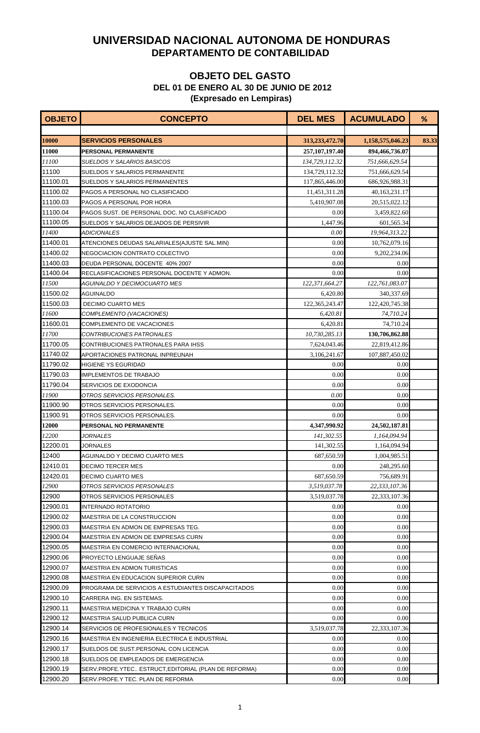| <b>OBJETO</b> | <b>CONCEPTO</b>                                     | <b>DEL MES</b>    | <b>ACUMULADO</b> | %     |
|---------------|-----------------------------------------------------|-------------------|------------------|-------|
|               |                                                     |                   |                  |       |
| 10000         | <b>SERVICIOS PERSONALES</b>                         | 313,233,472.70    | 1,158,575,046.23 | 83.33 |
| 11000         | <b>PERSONAL PERMANENTE</b>                          | 257, 107, 197. 40 | 894,466,736.07   |       |
| 11100         | SUELDOS Y SALARIOS BASICOS                          | 134,729,112.32    | 751,666,629.54   |       |
| 11100         | SUELDOS Y SALARIOS PERMANENTE                       | 134,729,112.32    | 751,666,629.54   |       |
| 11100.01      | SUELDOS Y SALARIOS PERMANENTES                      | 117,865,446.00    | 686,926,988.31   |       |
| 11100.02      | PAGOS A PERSONAL NO CLASIFICADO                     | 11,451,311.28     | 40,163,231.17    |       |
| 11100.03      | PAGOS A PERSONAL POR HORA                           | 5,410,907.08      | 20,515,022.12    |       |
| 11100.04      | PAGOS SUST. DE PERSONAL DOC. NO CLASIFICADO         | 0.00              | 3,459,822.60     |       |
| 11100.05      | SUELDOS Y SALARIOS DEJADOS DE PERSIVIR              | 1,447.96          | 601,565.34       |       |
| 11400         | ADICIONALES                                         | 0.00              | 19,964,313.22    |       |
| 11400.01      | ATENCIONES DEUDAS SALARIALES(AJUSTE SAL.MIN)        | 0.00              | 10,762,079.16    |       |
| 11400.02      | NEGOCIACION CONTRATO COLECTIVO                      | 0.00              | 9,202,234.06     |       |
| 11400.03      | DEUDA PERSONAL DOCENTE 40% 2007                     | 0.00              | 0.00             |       |
| 11400.04      | RECLASIFICACIONES PERSONAL DOCENTE Y ADMON.         | 0.00              | 0.00             |       |
| <i>11500</i>  | AGUINALDO Y DECIMOCUARTO MES                        | 122,371,664.27    | 122,761,083.07   |       |
| 11500.02      | AGUINALDO                                           | 6,420.80          | 340,337.69       |       |
| 11500.03      | <b>DECIMO CUARTO MES</b>                            | 122,365,243.47    | 122,420,745.38   |       |
| 11600         | COMPLEMENTO (VACACIONES)                            | 6,420.81          | 74,710.24        |       |
| 11600.01      | <b>COMPLEMENTO DE VACACIONES</b>                    | 6,420.81          | 74,710.24        |       |
| 11700         | CONTRIBUCIONES PATRONALES                           | 10,730,285.13     | 130,706,862.88   |       |
| 11700.05      | CONTRIBUCIONES PATRONALES PARA IHSS                 | 7,624,043.46      | 22,819,412.86    |       |
| 11740.02      | APORTACIONES PATRONAL INPREUNAH                     | 3,106,241.67      | 107,887,450.02   |       |
| 11790.02      | HIGIENE YS EGURIDAD                                 | 0.00              | 0.00             |       |
| 11790.03      | <b>IMPLEMENTOS DE TRABAJO</b>                       | 0.00              | 0.00             |       |
| 11790.04      | SERVICIOS DE EXODONCIA                              | 0.00              | 0.00             |       |
| <i>11900</i>  | OTROS SERVICIOS PERSONALES.                         | 0.00              | 0.00             |       |
| 11900.90      | OTROS SERVICIOS PERSONALES.                         | 0.00              | 0.00             |       |
| 11900.91      | OTROS SERVICIOS PERSONALES.                         | 0.00              | 0.00             |       |
| 12000         | PERSONAL NO PERMANENTE                              | 4,347,990.92      | 24,502,187.81    |       |
| 12200         | <i>JORNALES</i>                                     | 141,302.55        | 1,164,094.94     |       |
| 12200.01      | JORNALES                                            | 141,302.55        | 1,164,094.94     |       |
| 12400         | AGUINALDO Y DECIMO CUARTO MES                       | 687,650.59        | 1,004,985.51     |       |
| 12410.01      | DECIMO TERCER MES                                   | 0.00              | 248,295.60       |       |
| 12420.01      | DECIMO CUARTO MES                                   | 687,650.59        | 756,689.91       |       |
| 12900         | OTROS SERVICIOS PERSONALES                          | 3.519.037.78      | 22,333,107.36    |       |
| 12900         | OTROS SERVICIOS PERSONALES                          | 3,519,037.78      | 22,333,107.36    |       |
| 12900.01      | INTERNADO ROTATORIO                                 | 0.00              | 0.00             |       |
| 12900.02      | MAESTRIA DE LA CONSTRUCCION                         | 0.00              | 0.00             |       |
| 12900.03      | MAESTRIA EN ADMON DE EMPRESAS TEG.                  | 0.00              | 0.00             |       |
| 12900.04      | MAESTRIA EN ADMON DE EMPRESAS CURN                  | 0.00              | 0.00             |       |
| 12900.05      | MAESTRIA EN COMERCIO INTERNACIONAL                  | 0.00              | 0.00             |       |
| 12900.06      | PROYECTO LENGUAJE SEÑAS                             | 0.00              | 0.00             |       |
| 12900.07      | MAESTRIA EN ADMON TURISTICAS                        | 0.00              | 0.00             |       |
| 12900.08      | MAESTRIA EN EDUCACION SUPERIOR CURN                 | 0.00              | 0.00             |       |
| 12900.09      | PROGRAMA DE SERVICIOS A ESTUDIANTES DISCAPACITADOS  | 0.00              | 0.00             |       |
| 12900.10      | CARRERA ING. EN SISTEMAS.                           | 0.00              | 0.00             |       |
| 12900.11      | MAESTRIA MEDICINA Y TRABAJO CURN                    | 0.00              | 0.00             |       |
| 12900.12      | MAESTRIA SALUD PUBLICA CURN                         | 0.00              | 0.00             |       |
| 12900.14      | SERVICIOS DE PROFESIONALES Y TECNICOS               | 3,519,037.78      | 22,333,107.36    |       |
| 12900.16      | MAESTRIA EN INGENIERIA ELECTRICA E INDUSTRIAL       | 0.00              | 0.00             |       |
| 12900.17      | SUELDOS DE SUST.PERSONAL CON LICENCIA               | 0.00              | 0.00             |       |
| 12900.18      | SUELDOS DE EMPLEADOS DE EMERGENCIA                  | 0.00              | 0.00             |       |
| 12900.19      | SERV.PROFE.YTEC ESTRUCT,EDITORIAL (PLAN DE REFORMA) | 0.00              | 0.00             |       |
| 12900.20      | SERV.PROFE.Y TEC. PLAN DE REFORMA                   | 0.00              | 0.00             |       |
|               |                                                     |                   |                  |       |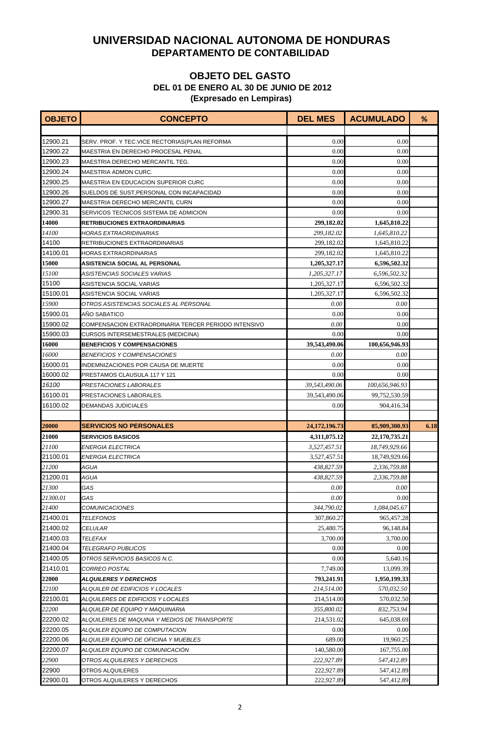| <b>OBJETO</b> | <b>CONCEPTO</b>                                      | <b>DEL MES</b>   | <b>ACUMULADO</b> | %    |
|---------------|------------------------------------------------------|------------------|------------------|------|
|               |                                                      |                  |                  |      |
| 12900.21      | SERV. PROF. Y TEC.VICE RECTORIAS(PLAN REFORMA        | 0.00             | 0.00             |      |
| 12900.22      | MAESTRIA EN DERECHO PROCESAL PENAL                   | 0.00             | 0.00             |      |
| 12900.23      | MAESTRIA DERECHO MERCANTIL TEG.                      | 0.00             | 0.00             |      |
| 12900.24      | <b>MAESTRIA ADMON CURC.</b>                          | 0.00             | 0.00             |      |
| 12900.25      | MAESTRIA EN EDUCACION SUPERIOR CURC                  | 0.00             | 0.00             |      |
| 12900.26      | SUELDOS DE SUST, PERSONAL CON INCAPACIDAD            | 0.00             | 0.00             |      |
| 12900.27      | MAESTRIA DERECHO MERCANTIL CURN                      | 0.00             | 0.00             |      |
| 12900.31      | SERVICOS TECNICOS SISTEMA DE ADMICION                | 0.00             | 0.00             |      |
| 14000         | <b>RETRIBUCIONES EXTRAORDINARIAS</b>                 | 299,182.02       | 1,645,810.22     |      |
| <i>14100</i>  | HORAS EXTRAORIDINARIAS                               | 299,182.02       | 1,645,810.22     |      |
| 14100         | RETRIBUCIONES EXTRAORDINARIAS                        | 299,182.02       | 1,645,810.22     |      |
| 14100.01      | <b>HORAS EXTRAORDINARIAS</b>                         | 299,182.02       | 1,645,810.22     |      |
| 15000         | <b>ASISTENCIA SOCIAL AL PERSONAL</b>                 | 1,205,327.17     | 6,596,502.32     |      |
| 15100         | ASISTENCIAS SOCIALES VARIAS                          | 1,205,327.17     | 6,596,502.32     |      |
| 15100         | ASISTENCIA SOCIAL VARIAS                             | 1,205,327.17     | 6,596,502.32     |      |
| 15100.01      | ASISTENCIA SOCIAL VARIAS                             | 1,205,327.17     | 6,596,502.32     |      |
| 15900         | OTROS ASISTENCIAS SOCIALES AL PERSONAL               | 0.00             | 0.00             |      |
| 15900.01      | <b>AÑO SABATICO</b>                                  | 0.00             | 0.00             |      |
| 15900.02      | COMPENSACION EXTRAORDINARIA TERCER PERIODO INTENSIVO | 0.00             | 0.00             |      |
| 15900.03      | <b>CURSOS INTERSEMESTRALES (MEDICINA)</b>            | 0.00             | 0.00             |      |
| 16000         | <b>BENEFICIOS Y COMPENSACIONES</b>                   | 39,543,490.06    | 100,656,946.93   |      |
| 16000         | <i>BENEFICIOS Y COMPENSACIONES</i>                   | 0.00             | 0.00             |      |
| 16000.01      | INDEMNIZACIONES POR CAUSA DE MUERTE                  | 0.00             | 0.00             |      |
| 16000.02      | PRESTAMOS CLAUSULA 117 Y 121                         | 0.00             | 0.00             |      |
| 16100         | PRESTACIONES LABORALES                               | 39,543,490.06    | 100,656,946.93   |      |
| 16100.01      | PRESTACIONES LABORALES.                              | 39,543,490.06    | 99,752,530.59    |      |
| 16100.02      | DEMANDAS JUDICIALES                                  | 0.00             | 904,416.34       |      |
|               |                                                      |                  |                  |      |
| 20000         | <b>SERVICIOS NO PERSONALES</b>                       | 24, 172, 196. 73 | 85,909,300.93    | 6.18 |
| 21000         | <b>SERVICIOS BASICOS</b>                             | 4,311,075.12     | 22,170,735.21    |      |
| 21100         | ENERGIA ELECTRICA                                    | 3,527,457.51     | 18,749,929.66    |      |
| 21100.01      | <b>ENERGIA ELECTRICA</b>                             | 3,527,457.51     | 18.749.929.66    |      |
| 21200         | AGUA                                                 | 438,827.59       | 2,336,759.88     |      |
| 21200.01      | AGUA                                                 | 438,827.59       | 2,336,759.88     |      |
| 21300         | GAS                                                  | 0.00             | 0.00             |      |
| 21300.01      | GAS                                                  | 0.00             | 0.00             |      |
| 21400         | <b>COMUNICACIONES</b>                                | 344,790.02       | 1,084,045.67     |      |
| 21400.01      | TELEFONOS                                            | 307,860.27       | 965,457.28       |      |
| 21400.02      | <i>CELULAR</i>                                       | 25,480.75        | 96,148.84        |      |
| 21400.03      | TELEFAX                                              | 3,700.00         | 3,700.00         |      |
| 21400.04      | <b>TELEGRAFO PUBLICOS</b>                            | 0.00             | 0.00             |      |
| 21400.05      | OTROS SERVICIOS BASICOS N.C.                         | 0.00             | 5,640.16         |      |
| 21410.01      | CORREO POSTAL                                        | 7,749.00         | 13,099.39        |      |
| 22000         | <b>ALQUILERES Y DERECHOS</b>                         | 793,241.91       | 1,950,199.33     |      |
| 22100         | ALQUILER DE EDIFICIOS Y LOCALES                      | 214,514.00       | 570,032.50       |      |
| 22100.01      | ALQUILERES DE EDIFICIOS Y LOCALES                    | 214,514.00       | 570,032.50       |      |
| 22200         | ALQUILER DE EQUIPO Y MAQUINARIA                      | 355,800.02       | 832,753.94       |      |
| 22200.02      | ALQUILERES DE MAQUINA Y MEDIOS DE TRANSPORTE         | 214,531.02       | 645,038.69       |      |
| 22200.05      | ALQUILER EQUIPO DE COMPUTACION                       | 0.00             | 0.00             |      |
| 22200.06      | ALQUILER EQUIPO DE OFICINA Y MUEBLES                 | 689.00           | 19,960.25        |      |
| 22200.07      | ALQUILER EQUIPO DE COMUNICACION                      | 140,580.00       | 167,755.00       |      |
| 22900         | OTROS ALQUILERES Y DERECHOS                          | 222,927.89       | 547,412.89       |      |
| 22900         | OTROS ALQUILERES                                     | 222,927.89       | 547,412.89       |      |
| 22900.01      | OTROS ALQUILERES Y DERECHOS                          | 222,927.89       | 547,412.89       |      |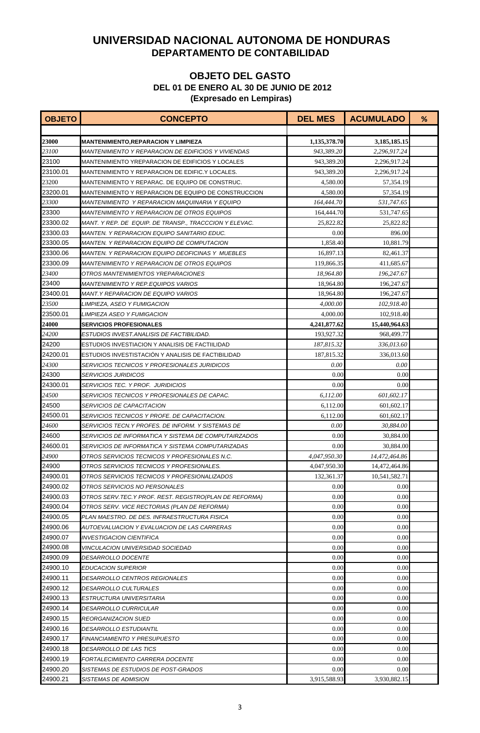| <b>OBJETO</b> | <b>CONCEPTO</b>                                          | <b>DEL MES</b> | <b>ACUMULADO</b> | % |
|---------------|----------------------------------------------------------|----------------|------------------|---|
|               |                                                          |                |                  |   |
| 23000         | <b>MANTENIMIENTO, REPARACION Y LIMPIEZA</b>              | 1,135,378.70   | 3,185,185.15     |   |
| 23100         | MANTENIMIENTO Y REPARACION DE EDIFICIOS Y VIVIENDAS      | 943,389.20     | 2,296,917.24     |   |
| 23100         | MANTENIMIENTO YREPARACION DE EDIFICIOS Y LOCALES         | 943,389.20     | 2.296.917.24     |   |
| 23100.01      | MANTENIMIENTO Y REPARACION DE EDIFIC Y LOCALES.          | 943,389.20     | 2,296,917.24     |   |
| 23200         | MANTENIMIENTO Y REPARAC. DE EQUIPO DE CONSTRUC.          | 4,580.00       | 57,354.19        |   |
| 23200.01      | MANTENIMIENTO Y REPARACION DE EQUIPO DE CONSTRUCCION     | 4,580.00       | 57,354.19        |   |
| 23300         | MANTENIMIENTO Y REPARACION MAQUINARIA Y EQUIPO           | 164,444.70     | 531,747.65       |   |
| 23300         | <i>MANTENIMIENTO Y REPARACION DE OTROS EQUIPOS</i>       | 164,444.70     | 531,747.65       |   |
| 23300.02      | MANT. Y REP. DE EQUIP. DE TRANSP., TRACCCION Y ELEVAC.   | 25,822.82      | 25,822.82        |   |
| 23300.03      | MANTEN. Y REPARACION EQUIPO SANITARIO EDUC.              | 0.00           | 896.00           |   |
| 23300.05      | MANTEN. Y REPARACION EQUIPO DE COMPUTACION               | 1,858.40       | 10,881.79        |   |
| 23300.06      | <b>MANTEN. Y REPARACION EQUIPO DEOFICINAS Y MUEBLES</b>  | 16,897.13      | 82,461.37        |   |
| 23300.09      | MANTENIMIENTO Y REPARACION DE OTROS EQUIPOS              | 119,866.35     | 411,685.67       |   |
| 23400         | OTROS MANTENIMIENTOS YREPARACIONES                       | 18,964.80      | 196,247.67       |   |
| 23400         | <i>MANTENIMIENTO Y REP.EQUIPOS VARIOS</i>                | 18,964.80      | 196,247.67       |   |
| 23400.01      | MANT.Y REPARACION DE EQUIPO VARIOS                       | 18,964.80      | 196,247.67       |   |
| 23500         | LIMPIEZA, ASEO Y FUMIGACION                              | 4,000.00       | 102,918.40       |   |
| 23500.01      | LIMPIEZA ASEO Y FUMIGACION                               | 4,000.00       | 102,918.40       |   |
| 24000         | <b>SERVICIOS PROFESIONALES</b>                           | 4,241,877.62   | 15,440,964.63    |   |
| 24200         | ESTUDIOS INVEST.ANALISIS DE FACTIBILIDAD.                | 193,927.32     | 968,499.77       |   |
| 24200         | ESTUDIOS INVESTIACION Y ANALISIS DE FACTIILIDAD          | 187,815.32     | 336,013.60       |   |
| 24200.01      | ESTUDIOS INVESTISTACIÓN Y ANALISIS DE FACTIBILIDAD       | 187,815.32     | 336,013.60       |   |
| 24300         | <i>SERVICIOS TECNICOS Y PROFESIONALES JURIDICOS</i>      | 0.00           | 0.00             |   |
| 24300         | <i><b>SERVICIOS JURIDICOS</b></i>                        | 0.00           | 0.00             |   |
| 24300.01      | <b>SERVICIOS TEC. Y PROF. JURIDICIOS</b>                 | 0.00           | 0.00             |   |
| 24500         | SERVICIOS TECNICOS Y PROFESIONALES DE CAPAC.             | 6,112.00       | 601,602.17       |   |
| 24500         | <i>SERVICIOS DE CAPACITACION</i>                         | 6,112.00       | 601,602.17       |   |
| 24500.01      | SERVICIOS TECNICOS Y PROFE. DE CAPACITACION.             | 6,112.00       | 601.602.17       |   |
| 24600         | SERVICIOS TECN.Y PROFES. DE INFORM. Y SISTEMAS DE        | 0.00           | 30,884.00        |   |
| 24600         | SERVICIOS DE INFORMATICA Y SISTEMA DE COMPUTAIRZADOS     | 0.00           | 30,884.00        |   |
| 24600.01      | SERVICIOS DE INFORMATICA Y SISTEMA COMPUTARIZADAS        | 0.00           | 30,884.00        |   |
| 24900         | OTROS SERVICIOS TECNICOS Y PROFESIONALES N.C.            | 4,047,950.30   | 14,472,464.86    |   |
| 24900         | OTROS SERVICIOS TECNICOS Y PROFESIONALES.                | 4,047,950.30   | 14,472,464.86    |   |
| 24900.01      | OTROS SERVICIOS TECNICOS Y PROFESIONALIZADOS             | 132.361.37     | 10,541,582.71    |   |
| 24900.02      | OTROS SERVICIOS NO PERSONALES                            | 0.00           | 0.00             |   |
| 24900.03      | OTROS SERV. TEC. Y PROF. REST. REGISTRO(PLAN DE REFORMA) | 0.00           | 0.00             |   |
| 24900.04      | OTROS SERV. VICE RECTORIAS (PLAN DE REFORMA)             | 0.00           | 0.00             |   |
| 24900.05      | PLAN MAESTRO. DE DES. INFRAESTRUCTURA FISICA             | 0.00           | 0.00             |   |
| 24900.06      | AUTOEVALUACION Y EVALUACION DE LAS CARRERAS              | 0.00           | 0.00             |   |
| 24900.07      | <b>INVESTIGACION CIENTIFICA</b>                          | 0.00           | 0.00             |   |
| 24900.08      | <i>VINCULACION UNIVERSIDAD SOCIEDAD</i>                  | 0.00           | 0.00             |   |
| 24900.09      | <i><b>DESARROLLO DOCENTE</b></i>                         | 0.00           | 0.00             |   |
| 24900.10      | <b>EDUCACION SUPERIOR</b>                                | 0.00           | 0.00             |   |
| 24900.11      | DESARROLLO CENTROS REGIONALES                            | 0.00           | 0.00             |   |
| 24900.12      | DESARROLLO CULTURALES                                    | 0.00           | 0.00             |   |
| 24900.13      | ESTRUCTURA UNIVERSITARIA                                 | 0.00           | 0.00             |   |
| 24900.14      | DESARROLLO CURRICULAR                                    | 0.00           | 0.00             |   |
| 24900.15      | REORGANIZACION SUED                                      | 0.00           | 0.00             |   |
| 24900.16      | DESARROLLO ESTUDIANTIL                                   | 0.00           | 0.00             |   |
| 24900.17      | FINANCIAMIENTO Y PRESUPUESTO                             | 0.00           | 0.00             |   |
| 24900.18      | DESARROLLO DE LAS TICS                                   | 0.00           | 0.00             |   |
| 24900.19      | FORTALECIMIENTO CARRERA DOCENTE                          | 0.00           | 0.00             |   |
| 24900.20      | SISTEMAS DE ESTUDIOS DE POST-GRADOS                      | 0.00           | 0.00             |   |
| 24900.21      | SISTEMAS DE ADMISION                                     | 3,915,588.93   | 3,930,882.15     |   |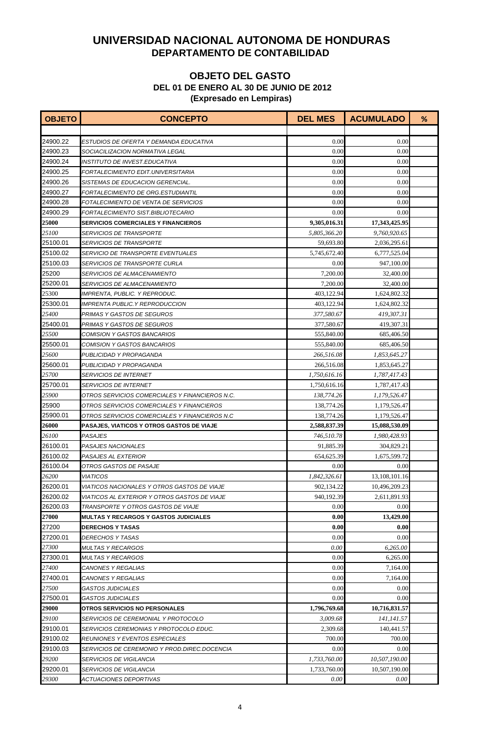| <b>OBJETO</b> | <b>CONCEPTO</b>                                     | <b>DEL MES</b> | <b>ACUMULADO</b> | % |
|---------------|-----------------------------------------------------|----------------|------------------|---|
|               |                                                     |                |                  |   |
| 24900.22      | ESTUDIOS DE OFERTA Y DEMANDA EDUCATIVA              | 0.00           | 0.00             |   |
| 24900.23      | SOCIACILIZACION NORMATIVA LEGAL                     | 0.00           | 0.00             |   |
| 24900.24      | INSTITUTO DE INVEST.EDUCATIVA                       | 0.00           | 0.00             |   |
| 24900.25      | FORTALECIMIENTO EDIT.UNIVERSITARIA                  | 0.00           | 0.00             |   |
| 24900.26      | SISTEMAS DE EDUCACION GERENCIAL.                    | 0.00           | 0.00             |   |
| 24900.27      | FORTALECIMIENTO DE ORG.ESTUDIANTIL                  | 0.00           | 0.00             |   |
| 24900.28      | FOTALECIMIENTO DE VENTA DE SERVICIOS                | 0.00           | 0.00             |   |
| 24900.29      | FORTALECIMIENTO SIST.BIBLIOTECARIO                  | 0.00           | 0.00             |   |
| 25000         | <b>SERVICIOS COMERCIALES Y FINANCIEROS</b>          | 9,305,016.31   | 17,343,425.95    |   |
| 25100         | <i>SERVICIOS DE TRANSPORTE</i>                      | 5,805,366.20   | 9,760,920.65     |   |
| 25100.01      | <b>SERVICIOS DE TRANSPORTE</b>                      | 59,693.80      | 2,036,295.61     |   |
| 25100.02      | SERVICIO DE TRANSPORTE EVENTUALES                   | 5,745,672.40   | 6,777,525.04     |   |
| 25100.03      | SERVICIOS DE TRANSPORTE CURLA                       | 0.00           | 947,100.00       |   |
| 25200         | <b>SERVICIOS DE ALMACENAMIENTO</b>                  | 7,200.00       | 32,400.00        |   |
| 25200.01      | <i>SERVICIOS DE ALMACENAMIENTO</i>                  | 7,200.00       | 32,400.00        |   |
| 25300         | IMPRENTA, PUBLIC. Y REPRODUC.                       | 403,122.94     | 1,624,802.32     |   |
| 25300.01      | <b>IMPRENTA PUBLIC.Y REPRODUCCION</b>               | 403,122.94     | 1,624,802.32     |   |
| 25400         | PRIMAS Y GASTOS DE SEGUROS                          | 377,580.67     | 419,307.31       |   |
| 25400.01      | PRIMAS Y GASTOS DE SEGUROS                          | 377,580.67     | 419,307.31       |   |
| 25500         | COMISION Y GASTOS BANCARIOS                         | 555,840.00     | 685,406.50       |   |
| 25500.01      | COMISION Y GASTOS BANCARIOS                         | 555,840.00     | 685,406.50       |   |
| 25600         | PUBLICIDAD Y PROPAGANDA                             | 266,516.08     | 1,853,645.27     |   |
| 25600.01      | PUBLICIDAD Y PROPAGANDA                             | 266,516.08     | 1,853,645.27     |   |
| 25700         | <b>SERVICIOS DE INTERNET</b>                        | 1,750,616.16   | 1,787,417.43     |   |
| 25700.01      | <b>SERVICIOS DE INTERNET</b>                        | 1,750,616.16   | 1,787,417.43     |   |
| 25900         | OTROS SERVICIOS COMERCIALES Y FINANCIEROS N.C.      | 138,774.26     | 1,179,526.47     |   |
| 25900         | OTROS SERVICIOS COMERCIALES Y FINANCIEROS           | 138,774.26     | 1,179,526.47     |   |
| 25900.01      | OTROS SERVICIOS COMERCIALES Y FINANCIEROS N.C.      | 138,774.26     | 1,179,526.47     |   |
| <b>26000</b>  | PASAJES, VIATICOS Y OTROS GASTOS DE VIAJE           | 2,588,837.39   | 15,088,530.09    |   |
| 26100         | <b>PASAJES</b>                                      | 746,510.78     | 1,980,428.93     |   |
| 26100.01      | PASAJES NACIONALES                                  | 91,885.39      | 304,829.21       |   |
| 26100.02      | PASAJES AL EXTERIOR                                 | 654,625.39     | 1,675,599.72     |   |
| 26100.04      | OTROS GASTOS DE PASAJE                              | 0.00           | 0.00             |   |
| 26200         | <b>VIATICOS</b>                                     | 1,842,326.61   | 13,108,101.16    |   |
| 26200.01      | VIATICOS NACIONALES Y OTROS GASTOS DE VIAJE         | 902,134.22     | 10,496,209.23    |   |
| 26200.02      | <i>VIATICOS AL EXTERIOR Y OTROS GASTOS DE VIAJE</i> | 940.192.39     | 2,611,891.93     |   |
| 26200.03      | TRANSPORTE Y OTROS GASTOS DE VIAJE                  | 0.00           | 0.00             |   |
| 27000         | <b>MULTAS Y RECARGOS Y GASTOS JUDICIALES</b>        | 0.00           | 13,429.00        |   |
| 27200         | <b>DERECHOS Y TASAS</b>                             | 0.00           | 0.00             |   |
| 27200.01      | DERECHOS Y TASAS                                    | 0.00           | 0.00             |   |
| 27300         | <i>MULTAS Y RECARGOS</i>                            | 0.00           | 6,265.00         |   |
| 27300.01      | <b>MULTAS Y RECARGOS</b>                            | 0.00           | 6,265.00         |   |
| 27400         | CANONES Y REGALIAS                                  | 0.00           | 7,164.00         |   |
| 27400.01      | CANONES Y REGALIAS                                  | 0.00           | 7,164.00         |   |
| 27500         | <b>GASTOS JUDICIALES</b>                            | 0.00           | 0.00             |   |
| 27500.01      | <b>GASTOS JUDICIALES</b>                            | 0.00           | 0.00             |   |
| 29000         | <b>OTROS SERVICIOS NO PERSONALES</b>                | 1,796,769.68   | 10,716,831.57    |   |
| 29100         | <i>SERVICIOS DE CEREMONIAL Y PROTOCOLO</i>          | 3,009.68       | 141,141.57       |   |
| 29100.01      | SERVICIOS CEREMONIAS Y PROTOCOLO EDUC.              | 2,309.68       | 140,441.57       |   |
| 29100.02      | REUNIONES Y EVENTOS ESPECIALES                      | 700.00         | 700.00           |   |
| 29100.03      | SERVICIOS DE CEREMONIO Y PROD.DIREC.DOCENCIA        | 0.00           | 0.00             |   |
| 29200         | <b>SERVICIOS DE VIGILANCIA</b>                      | 1,733,760.00   | 10,507,190.00    |   |
| 29200.01      | <b>SERVICIOS DE VIGILANCIA</b>                      | 1,733,760.00   | 10,507,190.00    |   |
| 29300         | <i>ACTUACIONES DEPORTIVAS</i>                       | 0.00           | 0.00             |   |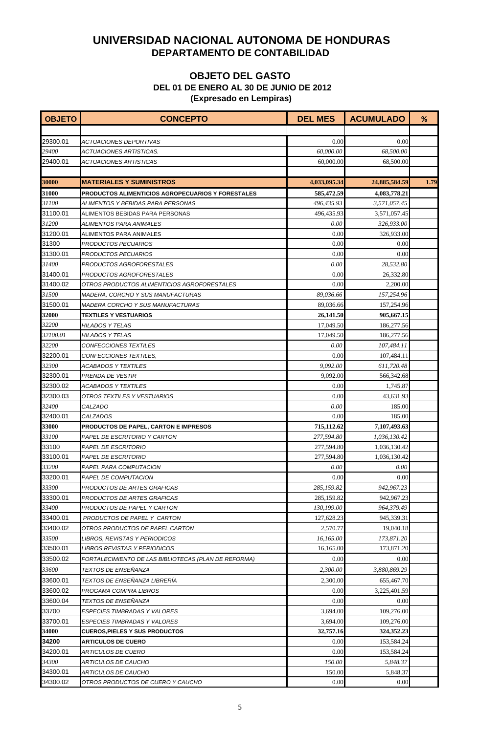| <b>OBJETO</b> | <b>CONCEPTO</b>                                      | <b>DEL MES</b> | <b>ACUMULADO</b> | %    |
|---------------|------------------------------------------------------|----------------|------------------|------|
|               |                                                      |                |                  |      |
| 29300.01      | ACTUACIONES DEPORTIVAS                               | 0.00           | 0.00             |      |
| 29400         | ACTUACIONES ARTISTICAS.                              | 60,000.00      | 68,500.00        |      |
| 29400.01      | ACTUACIONES ARTISTICAS                               | 60,000.00      | 68,500.00        |      |
|               |                                                      |                |                  |      |
| 30000         | <b>MATERIALES Y SUMINISTROS</b>                      | 4,033,095.34   | 24,885,584.59    | 1.79 |
| 31000         | PRODUCTOS ALIMENTICIOS AGROPECUARIOS Y FORESTALES    | 585,472.59     | 4,083,778.21     |      |
| 31100         | ALIMENTOS Y BEBIDAS PARA PERSONAS                    | 496,435.93     | 3,571,057.45     |      |
| 31100.01      | ALIMENTOS BEBIDAS PARA PERSONAS                      | 496,435.93     | 3,571,057.45     |      |
| 31200         | ALIMENTOS PARA ANIMALES                              | 0.00           | 326,933.00       |      |
| 31200.01      | ALIMENTOS PARA ANIMALES                              | 0.00           | 326,933.00       |      |
| 31300         | PRODUCTOS PECUARIOS                                  | 0.00           | 0.00             |      |
| 31300.01      | PRODUCTOS PECUARIOS                                  | 0.00           | 0.00             |      |
| 31400         | PRODUCTOS AGROFORESTALES                             | 0.00           | 28,532.80        |      |
| 31400.01      | PRODUCTOS AGROFORESTALES                             | 0.00           | 26,332.80        |      |
| 31400.02      | OTROS PRODUCTOS ALIMENTICIOS AGROFORESTALES          | 0.00           | 2,200.00         |      |
| 31500         | <i>MADERA, CORCHO Y SUS MANUFACTURAS</i>             | 89,036.66      | 157,254.96       |      |
| 31500.01      | <b>MADERA CORCHO Y SUS MANUFACTURAS</b>              | 89,036.66      | 157,254.96       |      |
| 32000         | <b>TEXTILES Y VESTUARIOS</b>                         | 26,141.50      | 905,667.15       |      |
| 32200         | HILADOS Y TELAS                                      | 17,049.50      | 186,277.56       |      |
| 32100.01      | HILADOS Y TELAS                                      | 17,049.50      | 186,277.56       |      |
| 32200         | CONFECCIONES TEXTILES                                | 0.00           | 107,484.11       |      |
| 32200.01      | CONFECCIONES TEXTILES,                               | 0.00           | 107,484.11       |      |
| 32300         | <b>ACABADOS Y TEXTILES</b>                           | 9,092.00       | 611,720.48       |      |
| 32300.01      | PRENDA DE VESTIR                                     | 9,092.00       | 566,342.68       |      |
| 32300.02      | ACABADOS Y TEXTILES                                  | 0.00           | 1,745.87         |      |
| 32300.03      | OTROS TEXTILES Y VESTUARIOS                          | 0.00           | 43,631.93        |      |
| 32400         | <b>CALZADO</b>                                       | 0.00           | 185.00           |      |
| 32400.01      | <b>CALZADOS</b>                                      | 0.00           | 185.00           |      |
| 33000         | PRODUCTOS DE PAPEL, CARTON E IMPRESOS                | 715,112.62     | 7,107,493.63     |      |
| 33100         | PAPEL DE ESCRITORIO Y CARTON                         | 277,594.80     | 1,036,130.42     |      |
| 33100         | PAPEL DE ESCRITORIO                                  | 277,594.80     | 1,036,130.42     |      |
| 33100.01      | <b>PAPEL DE ESCRITORIO</b>                           | 277,594.80     | 1,036,130.42     |      |
| 33200         | PAPEL PARA COMPUTACION                               | 0.00           | 0.00             |      |
| 33200.01      | <b>PAPEL DE COMPUTACION</b>                          | 0.00           | 0.00             |      |
| 33300         | PRODUCTOS DE ARTES GRAFICAS                          | 285,159.82     | 942,967.23       |      |
| 33300.01      | PRODUCTOS DE ARTES GRAFICAS                          | 285,159.82     | 942,967.23       |      |
| 33400         | PRODUCTOS DE PAPEL Y CARTON                          | 130,199.00     | 964,379.49       |      |
| 33400.01      | PRODUCTOS DE PAPEL Y CARTON                          | 127,628.23     | 945,339.31       |      |
| 33400.02      | OTROS PRODUCTOS DE PAPEL CARTON                      | 2,570.77       | 19,040.18        |      |
| 33500         | LIBROS. REVISTAS Y PERIODICOS                        | 16,165.00      | 173,871.20       |      |
| 33500.01      | LIBROS REVISTAS Y PERIODICOS                         | 16,165.00      | 173,871.20       |      |
| 33500.02      | FORTALECIMIENTO DE LAS BIBLIOTECAS (PLAN DE REFORMA) | 0.00           | 0.00             |      |
| 33600         | <b>TEXTOS DE ENSEÑANZA</b>                           | 2,300.00       | 3,880,869.29     |      |
| 33600.01      | TEXTOS DE ENSEÑANZA LIBRERÍA                         | 2,300.00       | 655,467.70       |      |
| 33600.02      | PROGAMA COMPRA LIBROS                                | 0.00           | 3,225,401.59     |      |
| 33600.04      | <b>TEXTOS DE ENSEÑANZA</b>                           | 0.00           | 0.00             |      |
| 33700         | ESPECIES TIMBRADAS Y VALORES                         | 3,694.00       | 109,276.00       |      |
| 33700.01      | ESPECIES TIMBRADAS Y VALORES                         | 3,694.00       | 109,276.00       |      |
| 34000         | <b>CUEROS,PIELES Y SUS PRODUCTOS</b>                 | 32,757.16      | 324, 352. 23     |      |
| 34200         | <b>ARTICULOS DE CUERO</b>                            | 0.00           | 153,584.24       |      |
| 34200.01      | ARTICULOS DE CUERO                                   | 0.00           | 153,584.24       |      |
| 34300         | ARTICULOS DE CAUCHO                                  | 150.00         | 5,848.37         |      |
| 34300.01      | ARTICULOS DE CAUCHO                                  | 150.00         | 5,848.37         |      |
| 34300.02      | OTROS PRODUCTOS DE CUERO Y CAUCHO                    | 0.00           | 0.00             |      |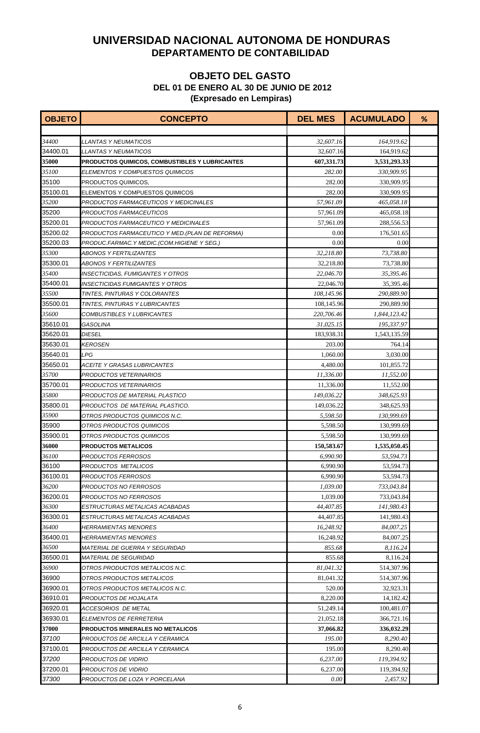| <b>OBJETO</b> | <b>CONCEPTO</b>                                 | <b>DEL MES</b> | <b>ACUMULADO</b> | % |
|---------------|-------------------------------------------------|----------------|------------------|---|
|               |                                                 |                |                  |   |
| 34400         | <i>LLANTAS Y NEUMATICOS</i>                     | 32,607.16      | 164,919.62       |   |
| 34400.01      | <b>LLANTAS Y NEUMATICOS</b>                     | 32,607.16      | 164,919.62       |   |
| <b>35000</b>  | PRODUCTOS QUIMICOS, COMBUSTIBLES Y LUBRICANTES  | 607,331.73     | 3,531,293.33     |   |
| 35100         | ELEMENTOS Y COMPUESTOS QUIMICOS                 | 282.00         | 330,909.95       |   |
| 35100         | PRODUCTOS QUIMICOS,                             | 282.00         | 330,909.95       |   |
| 35100.01      | ELEMENTOS Y COMPUESTOS QUIMICOS                 | 282.00         | 330,909.95       |   |
| 35200         | PRODUCTOS FARMACEUTICOS Y MEDICINALES           | 57,961.09      | 465,058.18       |   |
| 35200         | PRODUCTOS FARMACEUTICOS                         | 57,961.09      | 465,058.18       |   |
| 35200.01      | PRODUCTOS FARMACEUTICO Y MEDICINALES            | 57,961.09      | 288,556.53       |   |
| 35200.02      | PRODUCTOS FARMACEUTICO Y MED. (PLAN DE REFORMA) | 0.00           | 176,501.65       |   |
| 35200.03      | PRODUC.FARMAC.Y MEDIC.(COM.HIGIENE Y SEG.)      | 0.00           | 0.00             |   |
| 35300         | ABONOS Y FERTILIZANTES                          | 32,218.80      | 73,738.80        |   |
| 35300.01      | ABONOS Y FERTILIZANTES                          | 32,218.80      | 73,738.80        |   |
| 35400         | INSECTICIDAS, FUMIGANTES Y OTROS                | 22,046.70      | 35,395.46        |   |
| 35400.01      | INSECTICIDAS FUMIGANTES Y OTROS                 | 22,046.70      | 35,395.46        |   |
| 35500         | TINTES, PINTURAS Y COLORANTES                   | 108,145.96     | 290,889.90       |   |
| 35500.01      | <b>TINTES. PINTURAS Y LUBRICANTES</b>           | 108,145.96     | 290,889.90       |   |
| 35600         | COMBUSTIBLES Y LUBRICANTES                      | 220,706.46     | 1,844,123.42     |   |
| 35610.01      | GASOLINA                                        | 31,025.15      | 195,337.97       |   |
| 35620.01      | <b>DIESEL</b>                                   | 183,938.31     | 1,543,135.59     |   |
| 35630.01      | <b>KEROSEN</b>                                  | 203.00         | 764.14           |   |
| 35640.01      | LPG                                             | 1,060.00       | 3,030.00         |   |
| 35650.01      | <b>ACEITE Y GRASAS LUBRICANTES</b>              | 4,480.00       | 101,855.72       |   |
| 35700         | PRODUCTOS VETERINARIOS                          | 11,336.00      | 11,552.00        |   |
| 35700.01      | PRODUCTOS VETERINARIOS                          | 11,336.00      | 11,552.00        |   |
| 35800         | PRODUCTOS DE MATERIAL PLASTICO                  | 149,036.22     | 348,625.93       |   |
| 35800.01      | PRODUCTOS DE MATERIAL PLASTICO.                 | 149,036.22     | 348,625.93       |   |
| 35900         | OTROS PRODUCTOS QUIMICOS N.C.                   | 5.598.50       | 130,999.69       |   |
| 35900         | OTROS PRODUCTOS QUIMICOS                        | 5,598.50       | 130,999.69       |   |
| 35900.01      | OTROS PRODUCTOS QUIMICOS                        | 5,598.50       | 130,999.69       |   |
| 36000         | <b>PRODUCTOS METALICOS</b>                      | 150,583.67     | 1,535,050.45     |   |
| 36100         | PRODUCTOS FERROSOS                              | 6,990.90       | 53,594.73        |   |
| 36100         | PRODUCTOS METALICOS                             | 6,990.90       | 53,594.73        |   |
| 36100.01      | PRODUCTOS FERROSOS                              | 6.990.90       | 53,594.73        |   |
| 36200         | PRODUCTOS NO FERROSOS                           | 1,039.00       | 733,043.84       |   |
| 36200.01      | PRODUCTOS NO FERROSOS                           | 1,039.00       | 733,043.84       |   |
| 36300         | ESTRUCTURAS METALICAS ACABADAS                  | 44,407.85      | 141,980.43       |   |
| 36300.01      | ESTRUCTURAS METALICAS ACABADAS                  | 44,407.85      | 141,980.43       |   |
| 36400         | <i><b>HERRAMIENTAS MENORES</b></i>              | 16,248.92      | 84.007.25        |   |
| 36400.01      | <i>HERRAMIENTAS MENORES</i>                     | 16,248.92      | 84,007.25        |   |
| 36500         | MATERIAL DE GUERRA Y SEGURIDAD                  | 855.68         | 8,116.24         |   |
| 36500.01      | <b>MATERIAL DE SEGURIDAD</b>                    | 855.68         | 8,116.24         |   |
| 36900         | OTROS PRODUCTOS METALICOS N.C.                  | 81,041.32      | 514,307.96       |   |
| 36900         | OTROS PRODUCTOS METALICOS                       | 81,041.32      | 514,307.96       |   |
| 36900.01      | OTROS PRODUCTOS METALICOS N.C.                  | 520.00         | 32,923.31        |   |
| 36910.01      | PRODUCTOS DE HOJALATA                           | 8,220.00       | 14,182.42        |   |
| 36920.01      | ACCESORIOS DE METAL                             | 51,249.14      | 100,481.07       |   |
| 36930.01      | ELEMENTOS DE FERRETERIA                         | 21,052.18      | 366,721.16       |   |
| 37000         | PRODUCTOS MINERALES NO METALICOS                | 37,066.82      | 336,032.29       |   |
| 37100         | PRODUCTOS DE ARCILLA Y CERAMICA                 | 195.00         | 8,290.40         |   |
| 37100.01      | PRODUCTOS DE ARCILLA Y CERAMICA                 | 195.00         | 8,290.40         |   |
| 37200         | PRODUCTOS DE VIDRIO                             | 6,237.00       | 119,394.92       |   |
| 37200.01      | PRODUCTOS DE VIDRIO                             | 6,237.00       | 119,394.92       |   |
| 37300         | PRODUCTOS DE LOZA Y PORCELANA                   | 0.00           | 2,457.92         |   |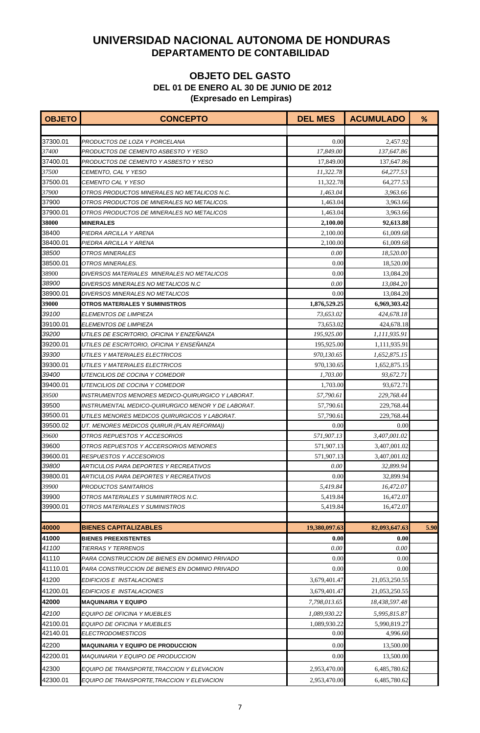| <b>OBJETO</b>     | <b>CONCEPTO</b>                                                                                  | <b>DEL MES</b> | <b>ACUMULADO</b> | %    |
|-------------------|--------------------------------------------------------------------------------------------------|----------------|------------------|------|
|                   |                                                                                                  |                |                  |      |
| 37300.01          | PRODUCTOS DE LOZA Y PORCELANA                                                                    | 0.00           | 2,457.92         |      |
| 37400             | PRODUCTOS DE CEMENTO ASBESTO Y YESO                                                              | 17,849.00      | 137,647.86       |      |
| 37400.01          | PRODUCTOS DE CEMENTO Y ASBESTO Y YESO                                                            | 17,849.00      | 137,647.86       |      |
| 37500             | CEMENTO, CAL Y YESO                                                                              | 11,322.78      | 64,277.53        |      |
| 37500.01          | <b>CEMENTO CAL Y YESO</b>                                                                        | 11,322.78      | 64,277.53        |      |
| 37900             | OTROS PRODUCTOS MINERALES NO METALICOS N.C.                                                      | 1,463.04       | 3,963.66         |      |
| 37900             | OTROS PRODUCTOS DE MINERALES NO METALICOS.                                                       | 1,463.04       | 3,963.66         |      |
| 37900.01          | OTROS PRODUCTOS DE MINERALES NO METALICOS                                                        | 1,463.04       | 3,963.66         |      |
| <b>38000</b>      | <b>MINERALES</b>                                                                                 | 2,100.00       | 92,613.88        |      |
| 38400             | PIEDRA ARCILLA Y ARENA                                                                           | 2,100.00       | 61,009.68        |      |
| 38400.01          | PIEDRA ARCILLA Y ARENA                                                                           | 2,100.00       | 61,009.68        |      |
| 38500             | <b>OTROS MINERALES</b>                                                                           | 0.00           | 18,520.00        |      |
| 38500.01          | OTROS MINERALES.                                                                                 | 0.00           | 18,520.00        |      |
| 38900             | DIVERSOS MATERIALES MINERALES NO METALICOS                                                       | 0.00           | 13,084.20        |      |
| 38900             | DIVERSOS MINERALES NO METALICOS N.C                                                              | 0.00           | 13,084.20        |      |
| 38900.01          | DIVERSOS MINERALES NO METALICOS                                                                  | 0.00           | 13,084.20        |      |
| 39000             | <b>OTROS MATERIALES Y SUMINISTROS</b>                                                            | 1,876,529.25   | 6,969,303.42     |      |
| 39100             | ELEMENTOS DE LIMPIEZA                                                                            | 73,653.02      | 424,678.18       |      |
| 39100.01          | <b>ELEMENTOS DE LIMPIEZA</b>                                                                     | 73,653.02      | 424,678.18       |      |
| 39200             | UTILES DE ESCRITORIO, OFICINA Y ENZEÑANZA                                                        | 195,925.00     | 1,111,935.91     |      |
| 39200.01          | UTILES DE ESCRITORIO, OFICINA Y ENSENANZA                                                        | 195,925.00     | 1,111,935.91     |      |
| 39300             | UTILES Y MATERIALES ELECTRICOS                                                                   | 970,130.65     | 1,652,875.15     |      |
| 39300.01          | UTILES Y MATERIALES ELECTRICOS                                                                   | 970,130.65     | 1,652,875.15     |      |
| 39400             | UTENCILIOS DE COCINA Y COMEDOR                                                                   | 1,703.00       | 93,672.71        |      |
| 39400.01          | UTENCILIOS DE COCINA Y COMEDOR                                                                   | 1,703.00       | 93,672.71        |      |
| 39500             | INSTRUMENTOS MENORES MEDICO-QUIRURGICO Y LABORAT.                                                | 57,790.61      | 229,768.44       |      |
| 39500             | INSTRUMENTAL MEDICO-QUIRURGICO MENOR Y DE LABORAT.                                               | 57,790.61      | 229,768.44       |      |
| 39500.01          | UTILES MENORES MEDICOS QUIRURGICOS Y LABORAT.                                                    | 57,790.61      | 229,768.44       |      |
| 39500.02          | UT. MENORES MEDICOS QUIRUR. (PLAN REFORMA))                                                      | 0.00           | 0.00             |      |
| 39600             | OTROS REPUESTOS Y ACCESORIOS                                                                     | 571,907.13     | 3,407,001.02     |      |
| 39600             | OTROS REPUESTOS Y ACCERSORIOS MENORES                                                            | 571,907.13     | 3,407,001.02     |      |
| 39600.01          | RESPUESTOS Y ACCESORIOS                                                                          | 571,907.13     | 3,407,001.02     |      |
| 39800             | ARTICULOS PARA DEPORTES Y RECREATIVOS                                                            | 0.00           | 32,899.94        |      |
| 39800.01          | ARTICULOS PARA DEPORTES Y RECREATIVOS                                                            | 0.00           | 32,899.94        |      |
| 39900             | PRODUCTOS SANITARIOS                                                                             | 5,419.84       | 16,472.07        |      |
| 39900             | OTROS MATERIALES Y SUMINIRTROS N.C.                                                              | 5,419.84       | 16,472.07        |      |
| 39900.01          | OTROS MATERIALES Y SUMINISTROS                                                                   | 5,419.84       | 16,472.07        |      |
| 40000             |                                                                                                  |                |                  |      |
|                   | <b>BIENES CAPITALIZABLES</b>                                                                     | 19,380,097.63  | 82,093,647.63    | 5.90 |
| 41000             | <b>BIENES PREEXISTENTES</b>                                                                      | 0.00           | 0.00             |      |
| 41100             | <b>TIERRAS Y TERRENOS</b>                                                                        | 0.00           | 0.00             |      |
| 41110<br>41110.01 | PARA CONSTRUCCION DE BIENES EN DOMINIO PRIVADO<br>PARA CONSTRUCCION DE BIENES EN DOMINIO PRIVADO | 0.00<br>0.00   | 0.00<br>0.00     |      |
|                   |                                                                                                  |                |                  |      |
| 41200             | EDIFICIOS E INSTALACIONES                                                                        | 3,679,401.47   | 21,053,250.55    |      |
| 41200.01          | EDIFICIOS E INSTALACIONES                                                                        | 3,679,401.47   | 21,053,250.55    |      |
| 42000             | <b>MAQUINARIA Y EQUIPO</b>                                                                       | 7,798,013.65   | 18,438,597.48    |      |
| 42100             | EQUIPO DE OFICINA Y MUEBLES                                                                      | 1,089,930.22   | 5,995,815.87     |      |
| 42100.01          | EQUIPO DE OFICINA Y MUEBLES                                                                      | 1,089,930.22   | 5,990,819.27     |      |
| 42140.01          | <i>ELECTRODOMESTICOS</i>                                                                         | 0.00           | 4,996.60         |      |
| 42200             | <b>MAQUINARIA Y EQUIPO DE PRODUCCION</b>                                                         | 0.00           | 13,500.00        |      |
| 42200.01          | <b>MAQUINARIA Y EQUIPO DE PRODUCCION</b>                                                         | 0.00           | 13,500.00        |      |
| 42300             | EQUIPO DE TRANSPORTE TRACCION Y ELEVACION                                                        | 2,953,470.00   | 6,485,780.62     |      |
| 42300.01          | EQUIPO DE TRANSPORTE, TRACCION Y ELEVACION                                                       | 2,953,470.00   | 6,485,780.62     |      |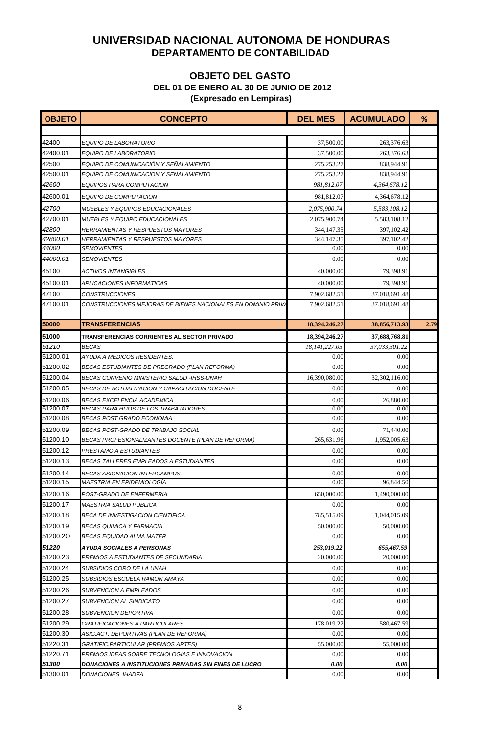| <b>OBJETO</b>        | <b>CONCEPTO</b>                                                          | <b>DEL MES</b>     | <b>ACUMULADO</b>     | %    |
|----------------------|--------------------------------------------------------------------------|--------------------|----------------------|------|
|                      |                                                                          |                    |                      |      |
| 42400                | EQUIPO DE LABORATORIO                                                    | 37,500.00          | 263,376.63           |      |
| 42400.01             | EQUIPO DE LABORATORIO                                                    | 37,500.00          | 263,376.63           |      |
| 42500                | EQUIPO DE COMUNICACIÓN Y SEÑALAMIENTO                                    | 275,253.27         | 838,944.91           |      |
| 42500.01             | EQUIPO DE COMUNICACIÓN Y SEÑALAMIENTO                                    | 275,253.27         | 838,944.91           |      |
| 42600                | EQUIPOS PARA COMPUTACION                                                 | 981,812.07         | 4,364,678.12         |      |
| 42600.01             | EQUIPO DE COMPUTACIÓN                                                    | 981,812.07         | 4,364,678.12         |      |
| 42700                | <i>MUEBLES Y EQUIPOS EDUCACIONALES</i>                                   | 2,075,900.74       | 5,583,108.12         |      |
| 42700.01             | <b>MUEBLES Y EQUIPO EDUCACIONALES</b>                                    | 2,075,900.74       | 5,583,108.12         |      |
| 42800                | <b>HERRAMIENTAS Y RESPUESTOS MAYORES</b>                                 | 344,147.35         | 397,102.42           |      |
| 42800.01             | <b>HERRAMIENTAS Y RESPUESTOS MAYORES</b>                                 | 344,147.35         | 397,102.42           |      |
| 44000                | <b>SEMOVIENTES</b>                                                       | 0.00               | 0.00                 |      |
| 44000.01             | <b>SEMOVIENTES</b>                                                       | 0.00               | 0.00                 |      |
| 45100                | ACTIVOS INTANGIBLES                                                      | 40,000.00          | 79,398.91            |      |
| 45100.01             | <i>APLICACIONES INFORMATICAS</i>                                         | 40,000.00          | 79,398.91            |      |
| 47100                | <b>CONSTRUCCIONES</b>                                                    | 7,902,682.51       | 37,018,691.48        |      |
| 47100.01             | CONSTRUCCIONES MEJORAS DE BIENES NACIONALES EN DOMINIO PRIV.             | 7,902,682.51       | 37,018,691.48        |      |
|                      |                                                                          |                    |                      |      |
| 50000                | <b>TRANSFERENCIAS</b>                                                    | 18,394,246.27      | 38,856,713.93        | 2.79 |
| 51000                | TRANSFERENCIAS CORRIENTES AL SECTOR PRIVADO                              | 18,394,246.27      | 37,688,768.81        |      |
| 51210                | <b>BECAS</b>                                                             | 18,141,227.05      | 37,033,301.22        |      |
| 51200.01             | AYUDA A MEDICOS RESIDENTES.                                              | 0.00               | 0.00                 |      |
| 51200.02             | BECAS ESTUDIANTES DE PREGRADO (PLAN REFORMA)                             | 0.00               | 0.00                 |      |
| 51200.04             | BECAS CONVENIO MINISTERIO SALUD -IHSS-UNAH                               | 16,390,080.00      | 32,302,116.00        |      |
| 51200.05             | BECAS DE ACTUALIZACION Y CAPACITACION DOCENTE                            | 0.00               | 0.00                 |      |
| 51200.06             | <b>BECAS EXCELENCIA ACADEMICA</b>                                        | 0.00               | 26,880.00            |      |
| 51200.07             | BECAS PARA HIJOS DE LOS TRABAJADORES                                     | 0.00               | 0.00                 |      |
| 51200.08             | BECAS POST GRADO ECONOMIA                                                | 0.00               | 0.00                 |      |
| 51200.09             | BECAS POST-GRADO DE TRABAJO SOCIAL                                       | 0.00               | 71,440.00            |      |
| 51200.10             | BECAS PROFESIONALIZANTES DOCENTE (PLAN DE REFORMA)                       | 265,631.96         | 1,952,005.63         |      |
| 51200.12<br>51200.13 | PRESTAMO A ESTUDIANTES                                                   | 0.00               | 0.00<br>0.00         |      |
|                      | BECAS TALLERES EMPLEADOS A ESTUDIANTES                                   | 0.00               |                      |      |
| 51200.14<br>51200.15 | BECAS ASIGNACION INTERCAMPUS.<br><b>MAESTRIA EN EPIDEMIOLOGÍA</b>        | 0.00<br>0.00       | 0.00<br>96,844.50    |      |
|                      |                                                                          |                    |                      |      |
| 51200.16             | POST-GRADO DE ENFERMERIA                                                 | 650,000.00         | 1,490,000.00         |      |
| 51200.17<br>51200.18 | <b>MAESTRIA SALUD PUBLICA</b><br><b>BECA DE INVESTIGACION CIENTIFICA</b> | 0.00<br>785,515.09 | 0.00<br>1,044,015.09 |      |
| 51200.19             |                                                                          |                    |                      |      |
| 51200.20             | BECAS QUIMICA Y FARMACIA<br><b>BECAS EQUIDAD ALMA MATER</b>              | 50,000.00<br>0.00  | 50,000.00<br>0.00    |      |
| 51220                | AYUDA SOCIALES A PERSONAS                                                | 253,019.22         | 655,467.59           |      |
| 51200.23             | PREMIOS A ESTUDIANTES DE SECUNDARIA                                      | 20,000.00          | 20,000.00            |      |
| 51200.24             | SUBSIDIOS CORO DE LA UNAH                                                | 0.00               | 0.00                 |      |
| 51200.25             | SUBSIDIOS ESCUELA RAMON AMAYA                                            | 0.00               | 0.00                 |      |
| 51200.26             | <b>SUBVENCION A EMPLEADOS</b>                                            | 0.00               | 0.00                 |      |
| 51200.27             | SUBVENCION AL SINDICATO                                                  | 0.00               | 0.00                 |      |
| 51200.28             |                                                                          | 0.00               | 0.00                 |      |
| 51200.29             | SUBVENCION DEPORTIVA<br><b>GRATIFICACIONES A PARTICULARES</b>            | 178,019.22         | 580,467.59           |      |
| 51200.30             | ASIG.ACT. DEPORTIVAS (PLAN DE REFORMA)                                   | 0.00               | 0.00                 |      |
| 51220.31             | GRATIFIC.PARTICULAR (PREMIOS ARTES)                                      | 55,000.00          | 55,000.00            |      |
| 51220.71             | PREMIOS IDEAS SOBRE TECNOLOGIAS E INNOVACION                             | 0.00               | 0.00                 |      |
| 51300                | DONACIONES A INSTITUCIONES PRIVADAS SIN FINES DE LUCRO                   | 0.00               | 0.00                 |      |
| 51300.01             | DONACIONES IHADFA                                                        | 0.00               | 0.00                 |      |